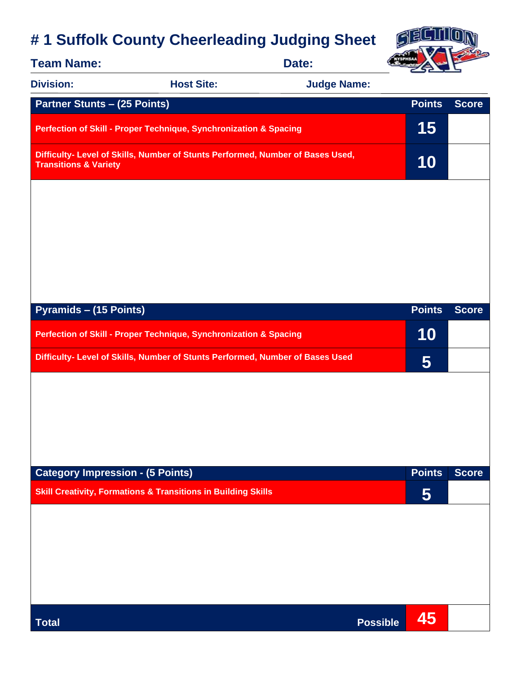## **# 1 Suffolk County Cheerleading Judging Sheet**



| <b>Team Name:</b>                                                                                                  | Date:             |                    |                 |              |
|--------------------------------------------------------------------------------------------------------------------|-------------------|--------------------|-----------------|--------------|
| <b>Division:</b>                                                                                                   | <b>Host Site:</b> | <b>Judge Name:</b> |                 |              |
| <b>Partner Stunts - (25 Points)</b>                                                                                |                   |                    | <b>Points</b>   | <b>Score</b> |
| Perfection of Skill - Proper Technique, Synchronization & Spacing                                                  |                   |                    |                 |              |
| Difficulty- Level of Skills, Number of Stunts Performed, Number of Bases Used,<br><b>Transitions &amp; Variety</b> |                   |                    | 10              |              |
|                                                                                                                    |                   |                    |                 |              |
|                                                                                                                    |                   |                    |                 |              |
|                                                                                                                    |                   |                    |                 |              |
|                                                                                                                    |                   |                    |                 |              |
| <b>Pyramids - (15 Points)</b>                                                                                      |                   |                    | <b>Points</b>   | <b>Score</b> |
| Perfection of Skill - Proper Technique, Synchronization & Spacing                                                  |                   |                    | 10              |              |
| Difficulty- Level of Skills, Number of Stunts Performed, Number of Bases Used                                      |                   |                    | $5\overline{)}$ |              |
|                                                                                                                    |                   |                    |                 |              |
|                                                                                                                    |                   |                    |                 |              |
|                                                                                                                    |                   |                    |                 |              |
|                                                                                                                    |                   |                    |                 |              |
| <b>Category Impression - (5 Points)</b>                                                                            |                   |                    | <b>Points</b>   | <b>Score</b> |
| <b>Skill Creativity, Formations &amp; Transitions in Building Skills</b>                                           |                   |                    | 5               |              |
|                                                                                                                    |                   |                    |                 |              |
|                                                                                                                    |                   |                    |                 |              |
|                                                                                                                    |                   |                    |                 |              |
|                                                                                                                    |                   |                    |                 |              |
| <b>Total</b>                                                                                                       |                   | <b>Possible</b>    | 45              |              |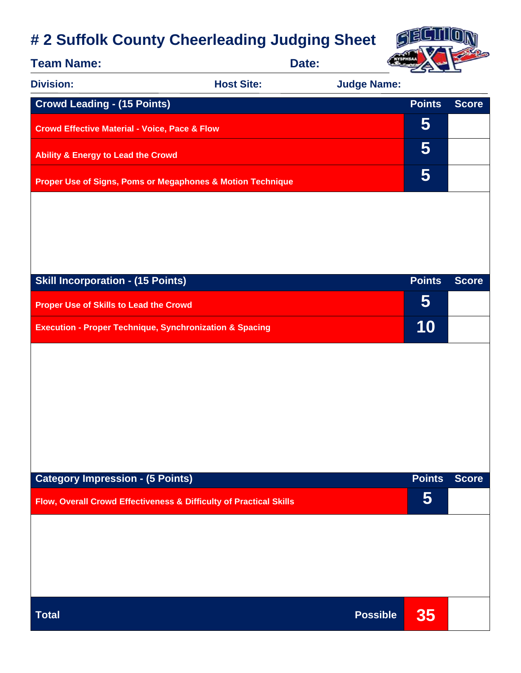## **# 2 Suffolk County Cheerleading Judging Sheet**



| <b>Team Name:</b>                                                  |                   | Date:              |               |              |
|--------------------------------------------------------------------|-------------------|--------------------|---------------|--------------|
| <b>Division:</b>                                                   | <b>Host Site:</b> | <b>Judge Name:</b> |               |              |
| <b>Crowd Leading - (15 Points)</b>                                 |                   |                    | <b>Points</b> | <b>Score</b> |
| <b>Crowd Effective Material - Voice, Pace &amp; Flow</b>           |                   |                    | 5             |              |
| <b>Ability &amp; Energy to Lead the Crowd</b>                      |                   |                    | 5             |              |
| Proper Use of Signs, Poms or Megaphones & Motion Technique         |                   |                    | 5             |              |
|                                                                    |                   |                    |               |              |
|                                                                    |                   |                    |               |              |
|                                                                    |                   |                    |               |              |
|                                                                    |                   |                    |               |              |
| <b>Skill Incorporation - (15 Points)</b>                           |                   |                    | <b>Points</b> | <b>Score</b> |
| <b>Proper Use of Skills to Lead the Crowd</b>                      |                   |                    | 5             |              |
| <b>Execution - Proper Technique, Synchronization &amp; Spacing</b> |                   |                    | 10            |              |
|                                                                    |                   |                    |               |              |
|                                                                    |                   |                    |               |              |
|                                                                    |                   |                    |               |              |
|                                                                    |                   |                    |               |              |
|                                                                    |                   |                    |               |              |
|                                                                    |                   |                    |               |              |
| <b>Category Impression - (5 Points)</b>                            |                   |                    | <b>Points</b> | <b>Score</b> |
| Flow, Overall Crowd Effectiveness & Difficulty of Practical Skills |                   |                    | 5             |              |
|                                                                    |                   |                    |               |              |
|                                                                    |                   |                    |               |              |
|                                                                    |                   |                    |               |              |
|                                                                    |                   |                    |               |              |
|                                                                    |                   |                    |               |              |
| <b>Total</b>                                                       |                   | <b>Possible</b>    | 35            |              |